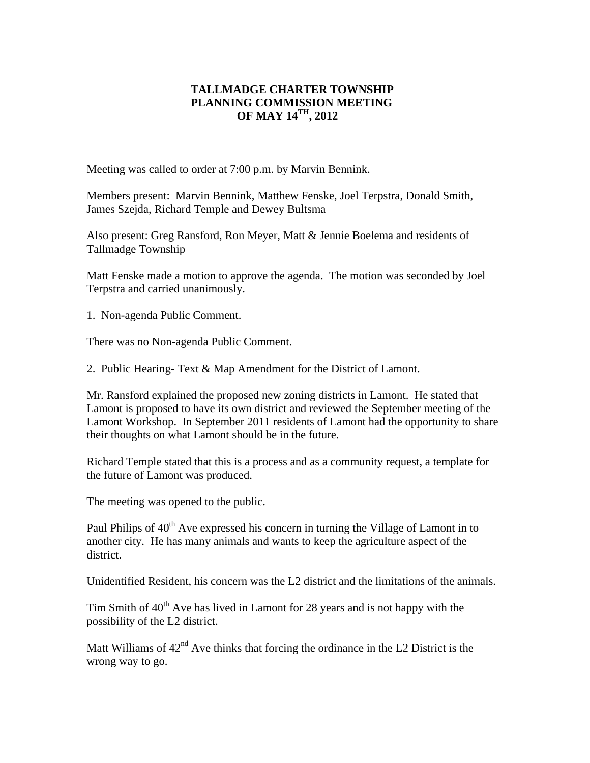## **TALLMADGE CHARTER TOWNSHIP PLANNING COMMISSION MEETING OF MAY 14TH, 2012**

Meeting was called to order at 7:00 p.m. by Marvin Bennink.

Members present: Marvin Bennink, Matthew Fenske, Joel Terpstra, Donald Smith, James Szejda, Richard Temple and Dewey Bultsma

Also present: Greg Ransford, Ron Meyer, Matt & Jennie Boelema and residents of Tallmadge Township

Matt Fenske made a motion to approve the agenda. The motion was seconded by Joel Terpstra and carried unanimously.

1. Non-agenda Public Comment.

There was no Non-agenda Public Comment.

2. Public Hearing- Text & Map Amendment for the District of Lamont.

Mr. Ransford explained the proposed new zoning districts in Lamont. He stated that Lamont is proposed to have its own district and reviewed the September meeting of the Lamont Workshop. In September 2011 residents of Lamont had the opportunity to share their thoughts on what Lamont should be in the future.

Richard Temple stated that this is a process and as a community request, a template for the future of Lamont was produced.

The meeting was opened to the public.

Paul Philips of 40<sup>th</sup> Ave expressed his concern in turning the Village of Lamont in to another city. He has many animals and wants to keep the agriculture aspect of the district.

Unidentified Resident, his concern was the L2 district and the limitations of the animals.

Tim Smith of  $40<sup>th</sup>$  Ave has lived in Lamont for 28 years and is not happy with the possibility of the L2 district.

Matt Williams of  $42<sup>nd</sup>$  Ave thinks that forcing the ordinance in the L2 District is the wrong way to go.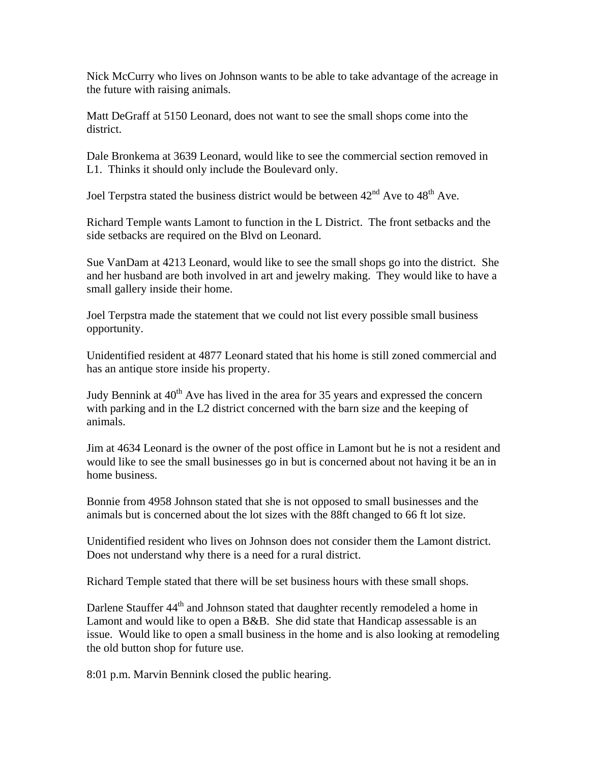Nick McCurry who lives on Johnson wants to be able to take advantage of the acreage in the future with raising animals.

Matt DeGraff at 5150 Leonard, does not want to see the small shops come into the district.

Dale Bronkema at 3639 Leonard, would like to see the commercial section removed in L1. Thinks it should only include the Boulevard only.

Joel Terpstra stated the business district would be between  $42<sup>nd</sup>$  Ave to  $48<sup>th</sup>$  Ave.

Richard Temple wants Lamont to function in the L District. The front setbacks and the side setbacks are required on the Blvd on Leonard.

Sue VanDam at 4213 Leonard, would like to see the small shops go into the district. She and her husband are both involved in art and jewelry making. They would like to have a small gallery inside their home.

Joel Terpstra made the statement that we could not list every possible small business opportunity.

Unidentified resident at 4877 Leonard stated that his home is still zoned commercial and has an antique store inside his property.

Judy Bennink at  $40<sup>th</sup>$  Ave has lived in the area for 35 years and expressed the concern with parking and in the L2 district concerned with the barn size and the keeping of animals.

Jim at 4634 Leonard is the owner of the post office in Lamont but he is not a resident and would like to see the small businesses go in but is concerned about not having it be an in home business.

Bonnie from 4958 Johnson stated that she is not opposed to small businesses and the animals but is concerned about the lot sizes with the 88ft changed to 66 ft lot size.

Unidentified resident who lives on Johnson does not consider them the Lamont district. Does not understand why there is a need for a rural district.

Richard Temple stated that there will be set business hours with these small shops.

Darlene Stauffer 44<sup>th</sup> and Johnson stated that daughter recently remodeled a home in Lamont and would like to open a B&B. She did state that Handicap assessable is an issue. Would like to open a small business in the home and is also looking at remodeling the old button shop for future use.

8:01 p.m. Marvin Bennink closed the public hearing.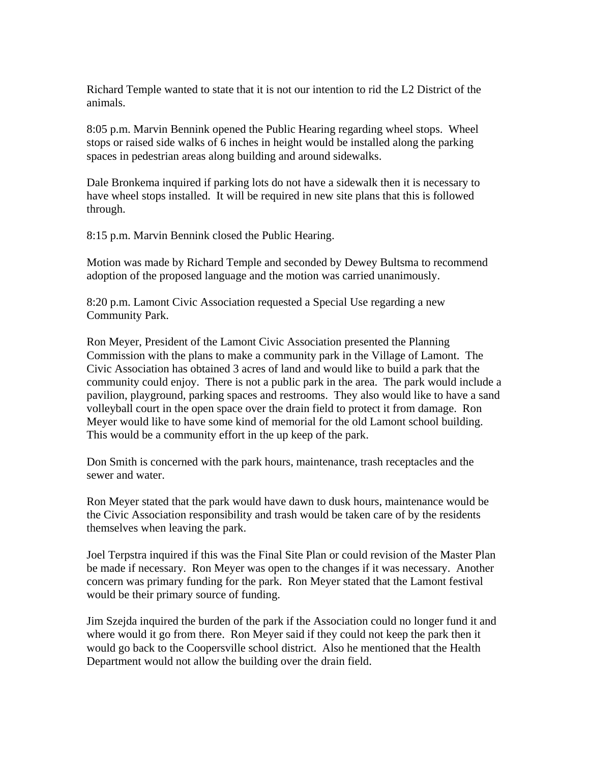Richard Temple wanted to state that it is not our intention to rid the L2 District of the animals.

8:05 p.m. Marvin Bennink opened the Public Hearing regarding wheel stops. Wheel stops or raised side walks of 6 inches in height would be installed along the parking spaces in pedestrian areas along building and around sidewalks.

Dale Bronkema inquired if parking lots do not have a sidewalk then it is necessary to have wheel stops installed. It will be required in new site plans that this is followed through.

8:15 p.m. Marvin Bennink closed the Public Hearing.

Motion was made by Richard Temple and seconded by Dewey Bultsma to recommend adoption of the proposed language and the motion was carried unanimously.

8:20 p.m. Lamont Civic Association requested a Special Use regarding a new Community Park.

Ron Meyer, President of the Lamont Civic Association presented the Planning Commission with the plans to make a community park in the Village of Lamont. The Civic Association has obtained 3 acres of land and would like to build a park that the community could enjoy. There is not a public park in the area. The park would include a pavilion, playground, parking spaces and restrooms. They also would like to have a sand volleyball court in the open space over the drain field to protect it from damage. Ron Meyer would like to have some kind of memorial for the old Lamont school building. This would be a community effort in the up keep of the park.

Don Smith is concerned with the park hours, maintenance, trash receptacles and the sewer and water.

Ron Meyer stated that the park would have dawn to dusk hours, maintenance would be the Civic Association responsibility and trash would be taken care of by the residents themselves when leaving the park.

Joel Terpstra inquired if this was the Final Site Plan or could revision of the Master Plan be made if necessary. Ron Meyer was open to the changes if it was necessary. Another concern was primary funding for the park. Ron Meyer stated that the Lamont festival would be their primary source of funding.

Jim Szejda inquired the burden of the park if the Association could no longer fund it and where would it go from there. Ron Meyer said if they could not keep the park then it would go back to the Coopersville school district. Also he mentioned that the Health Department would not allow the building over the drain field.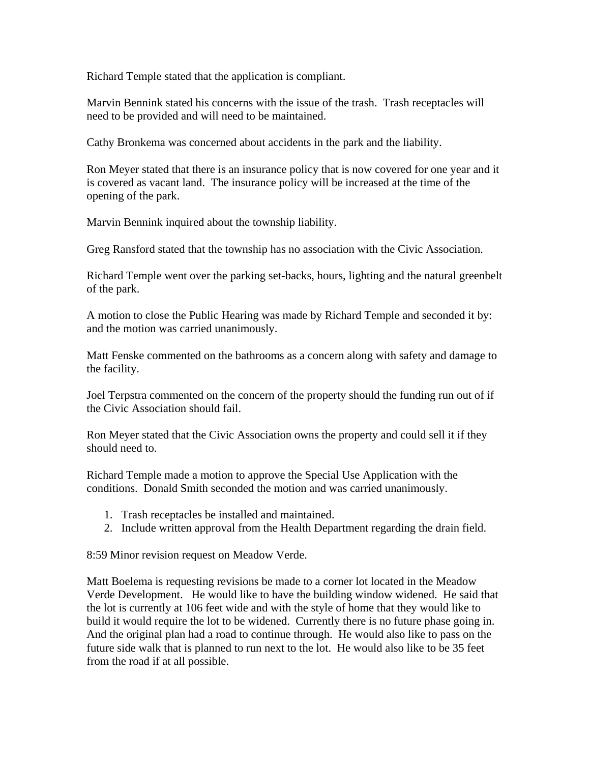Richard Temple stated that the application is compliant.

Marvin Bennink stated his concerns with the issue of the trash. Trash receptacles will need to be provided and will need to be maintained.

Cathy Bronkema was concerned about accidents in the park and the liability.

Ron Meyer stated that there is an insurance policy that is now covered for one year and it is covered as vacant land. The insurance policy will be increased at the time of the opening of the park.

Marvin Bennink inquired about the township liability.

Greg Ransford stated that the township has no association with the Civic Association.

Richard Temple went over the parking set-backs, hours, lighting and the natural greenbelt of the park.

A motion to close the Public Hearing was made by Richard Temple and seconded it by: and the motion was carried unanimously.

Matt Fenske commented on the bathrooms as a concern along with safety and damage to the facility.

Joel Terpstra commented on the concern of the property should the funding run out of if the Civic Association should fail.

Ron Meyer stated that the Civic Association owns the property and could sell it if they should need to.

Richard Temple made a motion to approve the Special Use Application with the conditions. Donald Smith seconded the motion and was carried unanimously.

- 1. Trash receptacles be installed and maintained.
- 2. Include written approval from the Health Department regarding the drain field.

8:59 Minor revision request on Meadow Verde.

Matt Boelema is requesting revisions be made to a corner lot located in the Meadow Verde Development. He would like to have the building window widened. He said that the lot is currently at 106 feet wide and with the style of home that they would like to build it would require the lot to be widened. Currently there is no future phase going in. And the original plan had a road to continue through. He would also like to pass on the future side walk that is planned to run next to the lot. He would also like to be 35 feet from the road if at all possible.